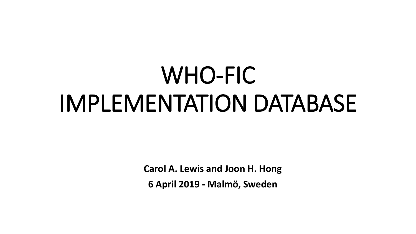## WHO-FIC IMPLEMENTATION DATABASE

**Carol A. Lewis and Joon H. Hong**

**6 April 2019 - Malmö, Sweden**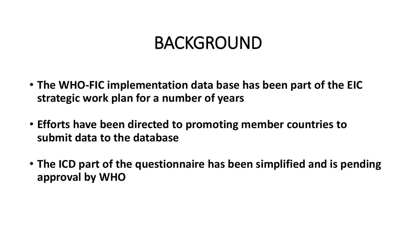## BACKGROUND

- **The WHO-FIC implementation data base has been part of the EIC strategic work plan for a number of years**
- **Efforts have been directed to promoting member countries to submit data to the database**
- **The ICD part of the questionnaire has been simplified and is pending approval by WHO**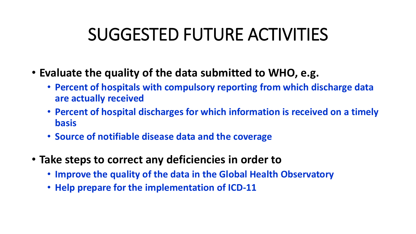## SUGGESTED FUTURE ACTIVITIES

- **Evaluate the quality of the data submitted to WHO, e.g.**
	- **Percent of hospitals with compulsory reporting from which discharge data are actually received**
	- **Percent of hospital discharges for which information is received on a timely basis**
	- **Source of notifiable disease data and the coverage**
- **Take steps to correct any deficiencies in order to**
	- **Improve the quality of the data in the Global Health Observatory**
	- **Help prepare for the implementation of ICD-11**